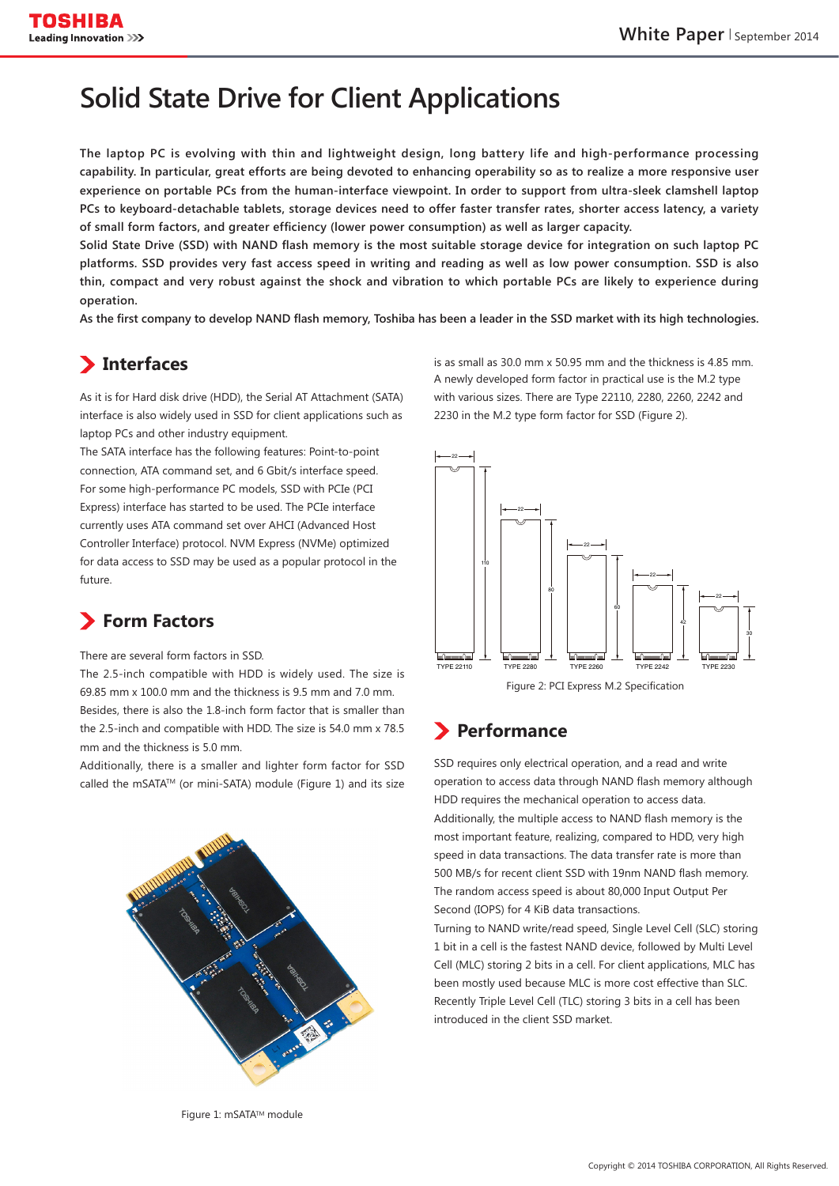# **Solid State Drive for Client Applications**

The laptop PC is evolving with thin and lightweight design, long battery life and high-performance processing capability. In particular, great efforts are being devoted to enhancing operability so as to realize a more responsive user experience on portable PCs from the human-interface viewpoint. In order to support from ultra-sleek clamshell laptop PCs to keyboard-detachable tablets, storage devices need to offer faster transfer rates, shorter access latency, a variety of small form factors, and greater efficiency (lower power consumption) as well as larger capacity.

Solid State Drive (SSD) with NAND flash memory is the most suitable storage device for integration on such laptop PC platforms. SSD provides very fast access speed in writing and reading as well as low power consumption. SSD is also thin, compact and very robust against the shock and vibration to which portable PCs are likely to experience during  **.operation**

As the first company to develop NAND flash memory, Toshiba has been a leader in the SSD market with its high technologies.

## **Interfaces**

As it is for Hard disk drive (HDD), the Serial AT Attachment (SATA) interface is also widely used in SSD for client applications such as laptop PCs and other industry equipment.

The SATA interface has the following features: Point-to-point connection, ATA command set, and 6 Gbit/s interface speed. For some high-performance PC models, SSD with PCIe (PCI Express) interface has started to be used. The PCIe interface currently uses ATA command set over AHCI (Advanced Host Controller Interface) protocol. NVM Express (NVMe) optimized for data access to SSD may be used as a popular protocol in the .future

## **Form Factors**

There are several form factors in SSD.

The 2.5-inch compatible with HDD is widely used. The size is 69.85 mm x 100.0 mm and the thickness is 9.5 mm and 7.0 mm Besides, there is also the 1.8-inch form factor that is smaller than the 2.5-inch and compatible with HDD. The size is 54.0 mm x 78.5 mm and the thickness is 5.0 mm.

Additionally, there is a smaller and lighter form factor for SSD called the mSATA™ (or mini-SATA) module (Figure 1) and its size

is as small as  $30.0$  mm  $x$  50.95 mm and the thickness is 4.85 mm. A newly developed form factor in practical use is the M.2 type with various sizes. There are Type 22110, 2280, 2260, 2242 and 2230 in the M.2 type form factor for SSD (Figure 2).



## **Performance**

SSD requires only electrical operation, and a read and write operation to access data through NAND flash memory although HDD requires the mechanical operation to access data. Additionally, the multiple access to NAND flash memory is the most important feature, realizing, compared to HDD, very high speed in data transactions. The data transfer rate is more than 500 MB/s for recent client SSD with 19nm NAND flash memory. The random access speed is about 80,000 Input Output Per Second (IOPS) for 4 KiB data transactions.

Turning to NAND write/read speed, Single Level Cell (SLC) storing 1 bit in a cell is the fastest NAND device, followed by Multi Level Cell (MLC) storing 2 bits in a cell. For client applications, MLC has been mostly used because MLC is more cost effective than SLC. Recently Triple Level Cell (TLC) storing 3 bits in a cell has been introduced in the client SSD market.

Figure 1: mSATA™ module